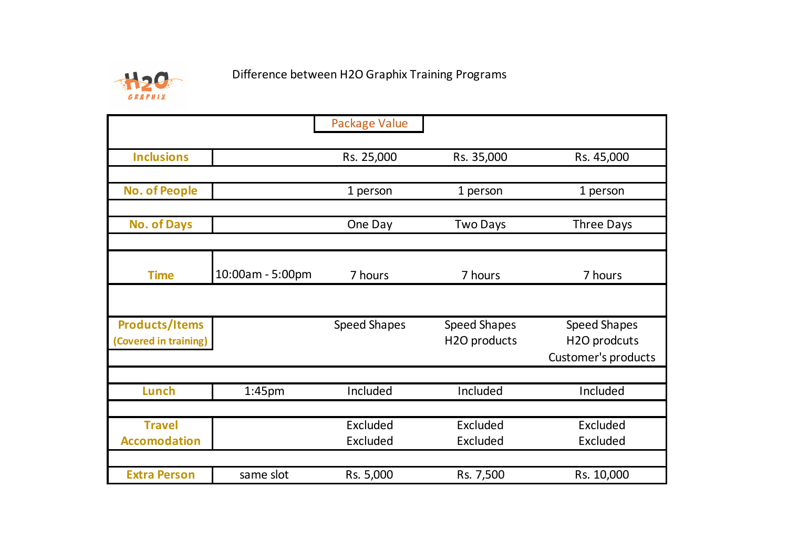

|                       |                    | <b>Package Value</b> |                     |                            |
|-----------------------|--------------------|----------------------|---------------------|----------------------------|
|                       |                    |                      |                     |                            |
| <b>Inclusions</b>     |                    | Rs. 25,000           | Rs. 35,000          | Rs. 45,000                 |
|                       |                    |                      |                     |                            |
| <b>No. of People</b>  |                    | 1 person             | 1 person            | 1 person                   |
|                       |                    |                      |                     |                            |
| <b>No. of Days</b>    |                    | One Day              | <b>Two Days</b>     | <b>Three Days</b>          |
|                       |                    |                      |                     |                            |
| <b>Time</b>           | 10:00am - 5:00pm   | 7 hours              | 7 hours             | 7 hours                    |
|                       |                    |                      |                     |                            |
|                       |                    |                      |                     |                            |
| <b>Products/Items</b> |                    | <b>Speed Shapes</b>  | <b>Speed Shapes</b> | <b>Speed Shapes</b>        |
| (Covered in training) |                    |                      | H2O products        | H2O prodcuts               |
|                       |                    |                      |                     | <b>Customer's products</b> |
|                       |                    |                      |                     |                            |
| Lunch                 | 1:45 <sub>pm</sub> | Included             | Included            | Included                   |
|                       |                    |                      |                     |                            |
| <b>Travel</b>         |                    | Excluded             | Excluded            | Excluded                   |
| <b>Accomodation</b>   |                    | Excluded             | Excluded            | Excluded                   |
|                       |                    |                      |                     |                            |
| <b>Extra Person</b>   | same slot          | Rs. 5,000            | Rs. 7,500           | Rs. 10,000                 |